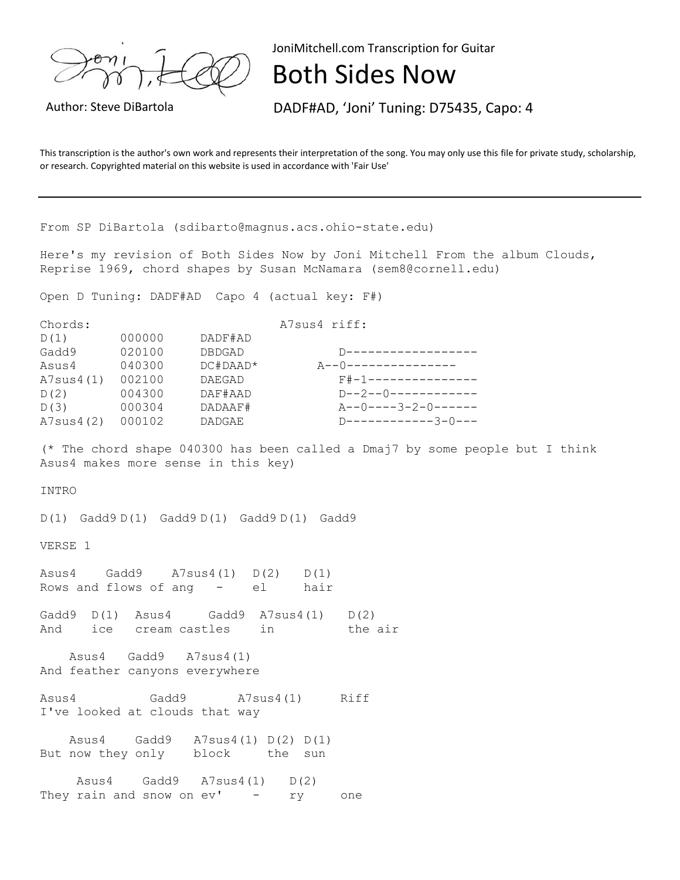

JoniMitchell.com Transcription for Guitar

## Both Sides Now

Author: Steve DiBartola **DADF#AD, 'Joni' Tuning: D75435, Capo: 4** 

This transcription is the author's own work and represents their interpretation of the song. You may only use this file for private study, scholarship, or research. Copyrighted material on this website is used in accordance with 'Fair Use'

From SP DiBartola (sdibarto@magnus.acs.ohio-state.edu)

Here's my revision of Both Sides Now by Joni Mitchell From the album Clouds, Reprise 1969, chord shapes by Susan McNamara (sem8@cornell.edu)

Open D Tuning: DADF#AD Capo 4 (actual key: F#)

| Chords:   |        |               | A7sus4 riff:                          |
|-----------|--------|---------------|---------------------------------------|
| D(1)      | 000000 | DADF#AD       |                                       |
| Gadd9     | 020100 | DBDGAD        | D------------------                   |
| Asus4     | 040300 | DC#DAAD*      | A--0---------------                   |
| A7sus4(1) | 002100 | <b>DAEGAD</b> | F#-1---------------                   |
| D(2)      | 004300 | DAF#AAD       | $D--2--0------------$                 |
| D(3)      | 000304 | DADAAF#       | $A - 0 - - - - 3 - 2 - 0 - - - - - -$ |
| A7sus4(2) | 000102 | <b>DADGAE</b> | $D$ ------------3-0---                |

(\* The chord shape 040300 has been called a Dmaj7 by some people but I think Asus4 makes more sense in this key)

INTRO

D(1) Gadd9 D(1) Gadd9 D(1) Gadd9 D(1) Gadd9

VERSE 1

Asus4 Gadd9 A7sus4(1) D(2) D(1) Rows and flows of ang - el hair

Gadd9 D(1) Asus4 Gadd9 A7sus4(1) D(2) And ice cream castles in the air

 Asus4 Gadd9 A7sus4(1) And feather canyons everywhere

Asus4 Gadd9 A7sus4(1) Riff I've looked at clouds that way

 Asus4 Gadd9 A7sus4(1) D(2) D(1) But now they only block the sun

 Asus4 Gadd9 A7sus4(1) D(2) They rain and snow on  $ev'$  - ry one